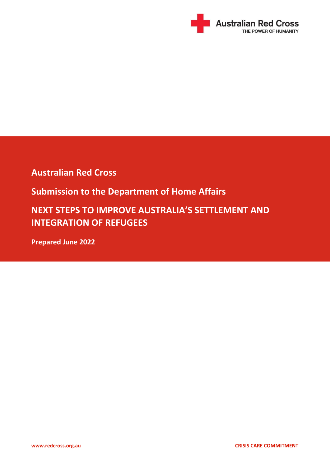

**Australian Red Cross**

**Submission to the Department of Home Affairs**

**NEXT STEPS TO IMPROVE AUSTRALIA'S SETTLEMENT AND INTEGRATION OF REFUGEES**

**Prepared June 2022**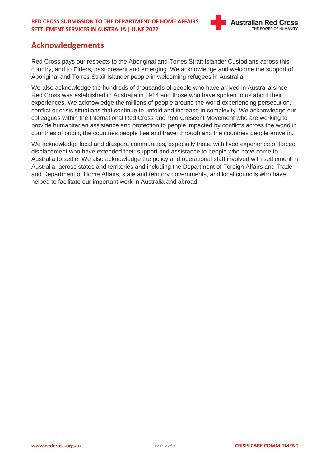

# **Acknowledgements**

Red Cross pays our respects to the Aboriginal and Torres Strait Islander Custodians across this country, and to Elders, past present and emerging. We acknowledge and welcome the support of Aboriginal and Torres Strait Islander people in welcoming refugees in Australia.

We also acknowledge the hundreds of thousands of people who have arrived in Australia since Red Cross was established in Australia in 1914 and those who have spoken to us about their experiences. We acknowledge the millions of people around the world experiencing persecution, conflict or crisis situations that continue to unfold and increase in complexity. We acknowledge our colleagues within the International Red Cross and Red Crescent Movement who are working to provide humanitarian assistance and protection to people impacted by conflicts across the world in countries of origin, the countries people flee and travel through and the countries people arrive in.

We acknowledge local and diaspora communities, especially those with lived experience of forced displacement who have extended their support and assistance to people who have come to Australia to settle. We also acknowledge the policy and operational staff involved with settlement in Australia, across states and territories and including the Department of Foreign Affairs and Trade and Department of Home Affairs, state and territory governments, and local councils who have helped to facilitate our important work in Australia and abroad.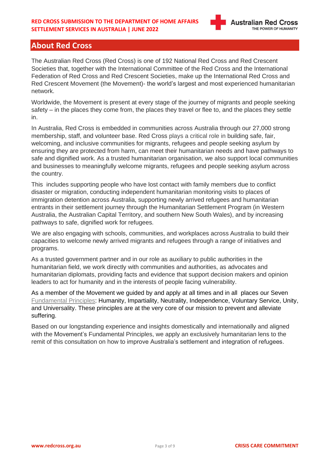# **About Red Cross**

The Australian Red Cross (Red Cross) is one of 192 National Red Cross and Red Crescent Societies that, together with the International Committee of the Red Cross and the International Federation of Red Cross and Red Crescent Societies, make up the International Red Cross and Red Crescent Movement (the Movement)- the world's largest and most experienced humanitarian network.

Worldwide, the Movement is present at every stage of the journey of migrants and people seeking safety – in the places they come from, the places they travel or flee to, and the places they settle in.  

In Australia, Red Cross is embedded in communities across Australia through our 27,000 strong membership, staff, and volunteer base. Red Cross plays a critical role in building safe, fair, welcoming, and inclusive communities for migrants, refugees and people seeking asylum by ensuring they are protected from harm, can meet their humanitarian needs and have pathways to safe and dignified work. As a trusted humanitarian organisation, we also support local communities and businesses to meaningfully welcome migrants, refugees and people seeking asylum across the country.

This includes supporting people who have lost contact with family members due to conflict disaster or migration, conducting independent humanitarian monitoring visits to places of immigration detention across Australia, supporting newly arrived refugees and humanitarian entrants in their settlement journey through the Humanitarian Settlement Program (in Western Australia, the Australian Capital Territory, and southern New South Wales), and by increasing pathways to safe, dignified work for refugees.

We are also engaging with schools, communities, and workplaces across Australia to build their capacities to welcome newly arrived migrants and refugees through a range of initiatives and programs.

As a trusted government partner and in our role as auxiliary to public authorities in the humanitarian field, we work directly with communities and authorities, as advocates and humanitarian diplomats, providing facts and evidence that support decision makers and opinion leaders to act for humanity and in the interests of people facing vulnerability.

As a member of the Movement we guided by and apply at all times and in all places our Seven [Fundamental](https://www.redcross.org.au/about/fundamental-principles/) Principles: Humanity, Impartiality, Neutrality, Independence, Voluntary Service, Unity, and Universality. These principles are at the very core of our mission to prevent and alleviate suffering.

Based on our longstanding experience and insights domestically and internationally and aligned with the Movement's Fundamental Principles, we apply an exclusively humanitarian lens to the remit of this consultation on how to improve Australia's settlement and integration of refugees.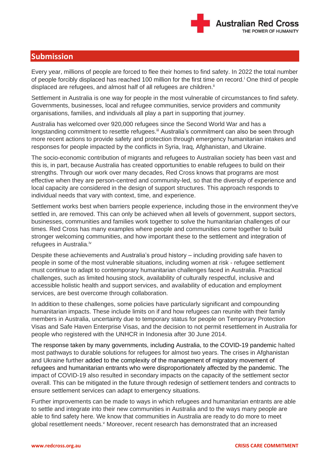

# **Submission**

Every year, millions of people are forced to flee their homes to find safety. In 2022 the total number of people forcibly displaced has reached 100 million for the first time on record.<sup>i</sup> One third of people displaced are refugees, and almost half of all refugees are children.<sup>ii</sup>

Settlement in Australia is one way for people in the most vulnerable of circumstances to find safety. Governments, businesses, local and refugee communities, service providers and community organisations, families, and individuals all play a part in supporting that journey.

Australia has welcomed over 920,000 refugees since the Second World War and has a longstanding commitment to resettle refugees.<sup>iii</sup> Australia's commitment can also be seen through more recent actions to provide safety and protection through emergency humanitarian intakes and responses for people impacted by the conflicts in Syria, Iraq, Afghanistan, and Ukraine.

The socio-economic contribution of migrants and refugees to Australian society has been vast and this is, in part, because Australia has created opportunities to enable refugees to build on their strengths. Through our work over many decades, Red Cross knows that programs are most effective when they are person-centred and community-led, so that the diversity of experience and local capacity are considered in the design of support structures. This approach responds to individual needs that vary with context, time, and experience.

Settlement works best when barriers people experience, including those in the environment they've settled in, are removed. This can only be achieved when all levels of government, support sectors, businesses, communities and families work together to solve the humanitarian challenges of our times. Red Cross has many examples where people and communities come together to build stronger welcoming communities, and how important these to the settlement and integration of refugees in Australia.<sup>iv</sup>

Despite these achievements and Australia's proud history – including providing safe haven to people in some of the most vulnerable situations, including women at risk - refugee settlement must continue to adapt to contemporary humanitarian challenges faced in Australia. Practical challenges, such as limited housing stock, availability of culturally respectful, inclusive and accessible holistic health and support services, and availability of education and employment services, are best overcome through collaboration.

In addition to these challenges, some policies have particularly significant and compounding humanitarian impacts. These include limits on if and how refugees can reunite with their family members in Australia, uncertainty due to temporary status for people on Temporary Protection Visas and Safe Haven Enterprise Visas, and the decision to not permit resettlement in Australia for people who registered with the UNHCR in Indonesia after 30 June 2014.

The response taken by many governments, including Australia, to the COVID-19 pandemic halted most pathways to durable solutions for refugees for almost two years. The crises in Afghanistan and Ukraine further added to the complexity of the management of migratory movement of refugees and humanitarian entrants who were disproportionately affected by the pandemic. The impact of COVID-19 also resulted in secondary impacts on the capacity of the settlement sector overall. This can be mitigated in the future through redesign of settlement tenders and contracts to ensure settlement services can adapt to emergency situations.

Further improvements can be made to ways in which refugees and humanitarian entrants are able to settle and integrate into their new communities in Australia and to the ways many people are able to find safety here. We know that communities in Australia are ready to do more to meet global resettlement needs.<sup>v</sup> Moreover, recent research has demonstrated that an increased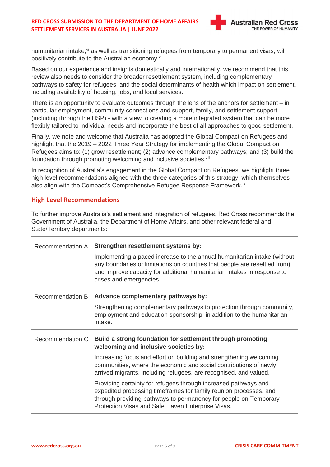#### **RED CROSS SUBMISSION TO THE DEPARTMENT OF HOME AFFAIRS SETTLEMENT SERVICES IN AUSTRALIA | JUNE 2022**



humanitarian intake, vi as well as transitioning refugees from temporary to permanent visas, will positively contribute to the Australian economy.<sup>vii</sup>

Based on our experience and insights domestically and internationally, we recommend that this review also needs to consider the broader resettlement system, including complementary pathways to safety for refugees, and the social determinants of health which impact on settlement, including availability of housing, jobs, and local services.

There is an opportunity to evaluate outcomes through the lens of the anchors for settlement – in particular employment, community connections and support, family, and settlement support (including through the HSP) - with a view to creating a more integrated system that can be more flexibly tailored to individual needs and incorporate the best of all approaches to good settlement.

Finally, we note and welcome that Australia has adopted the Global Compact on Refugees and highlight that the 2019 – 2022 Three Year Strategy for implementing the Global Compact on Refugees aims to: (1) grow resettlement; (2) advance complementary pathways; and (3) build the foundation through promoting welcoming and inclusive societies.<sup>viii</sup>

In recognition of Australia's engagement in the Global Compact on Refugees, we highlight three high level recommendations aligned with the three categories of this strategy, which themselves also align with the Compact's Comprehensive Refugee Response Framework.<sup>ix</sup>

## **High Level Recommendations**

To further improve Australia's settlement and integration of refugees, Red Cross recommends the Government of Australia, the Department of Home Affairs, and other relevant federal and State/Territory departments:

| Recommendation A | Strengthen resettlement systems by:                                                                                                                                                                                                                           |
|------------------|---------------------------------------------------------------------------------------------------------------------------------------------------------------------------------------------------------------------------------------------------------------|
|                  | Implementing a paced increase to the annual humanitarian intake (without<br>any boundaries or limitations on countries that people are resettled from)<br>and improve capacity for additional humanitarian intakes in response to<br>crises and emergencies.  |
| Recommendation B | Advance complementary pathways by:                                                                                                                                                                                                                            |
|                  | Strengthening complementary pathways to protection through community,<br>employment and education sponsorship, in addition to the humanitarian<br>intake.                                                                                                     |
| Recommendation C | Build a strong foundation for settlement through promoting<br>welcoming and inclusive societies by:                                                                                                                                                           |
|                  | Increasing focus and effort on building and strengthening welcoming<br>communities, where the economic and social contributions of newly<br>arrived migrants, including refugees, are recognised, and valued.                                                 |
|                  | Providing certainty for refugees through increased pathways and<br>expedited processing timeframes for family reunion processes, and<br>through providing pathways to permanency for people on Temporary<br>Protection Visas and Safe Haven Enterprise Visas. |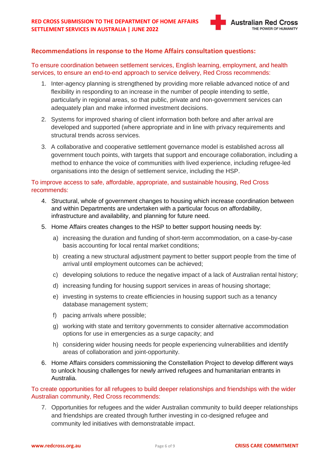

# **Recommendations in response to the Home Affairs consultation questions:**

To ensure coordination between settlement services, English learning, employment, and health services, to ensure an end-to-end approach to service delivery, Red Cross recommends:

- 1. Inter-agency planning is strengthened by providing more reliable advanced notice of and flexibility in responding to an increase in the number of people intending to settle, particularly in regional areas, so that public, private and non-government services can adequately plan and make informed investment decisions.
- 2. Systems for improved sharing of client information both before and after arrival are developed and supported (where appropriate and in line with privacy requirements and structural trends across services.
- 3. A collaborative and cooperative settlement governance model is established across all government touch points, with targets that support and encourage collaboration, including a method to enhance the voice of communities with lived experience, including refugee-led organisations into the design of settlement service, including the HSP.

# To improve access to safe, affordable, appropriate, and sustainable housing, Red Cross recommends:

- 4. Structural, whole of government changes to housing which increase coordination between and within Departments are undertaken with a particular focus on affordability, infrastructure and availability, and planning for future need.
- 5. Home Affairs creates changes to the HSP to better support housing needs by:
	- a) increasing the duration and funding of short-term accommodation, on a case-by-case basis accounting for local rental market conditions;
	- b) creating a new structural adjustment payment to better support people from the time of arrival until employment outcomes can be achieved;
	- c) developing solutions to reduce the negative impact of a lack of Australian rental history;
	- d) increasing funding for housing support services in areas of housing shortage;
	- e) investing in systems to create efficiencies in housing support such as a tenancy database management system;
	- f) pacing arrivals where possible;
	- g) working with state and territory governments to consider alternative accommodation options for use in emergencies as a surge capacity; and
	- h) considering wider housing needs for people experiencing vulnerabilities and identify areas of collaboration and joint-opportunity.
- 6. Home Affairs considers commissioning the Constellation Project to develop different ways to unlock housing challenges for newly arrived refugees and humanitarian entrants in Australia.

## To create opportunities for all refugees to build deeper relationships and friendships with the wider Australian community, Red Cross recommends:

7. Opportunities for refugees and the wider Australian community to build deeper relationships and friendships are created through further investing in co-designed refugee and community led initiatives with demonstratable impact.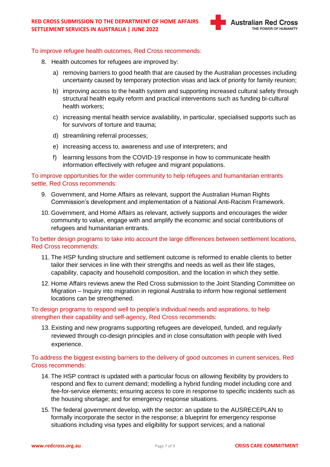

#### To improve refugee health outcomes, Red Cross recommends:

- 8. Health outcomes for refugees are improved by:
	- a) removing barriers to good health that are caused by the Australian processes including uncertainty caused by temporary protection visas and lack of priority for family reunion;
	- b) improving access to the health system and supporting increased cultural safety through structural health equity reform and practical interventions such as funding bi-cultural health workers;
	- c) increasing mental health service availability, in particular, specialised supports such as for survivors of torture and trauma;
	- d) streamlining referral processes;
	- e) increasing access to, awareness and use of interpreters; and
	- f) learning lessons from the COVID-19 response in how to communicate health information effectively with refugee and migrant populations.

To improve opportunities for the wider community to help refugees and humanitarian entrants settle, Red Cross recommends:

- 9. Government, and Home Affairs as relevant, support the Australian Human Rights Commission's development and implementation of a National Anti-Racism Framework.
- 10. Government, and Home Affairs as relevant, actively supports and encourages the wider community to value, engage with and amplify the economic and social contributions of refugees and humanitarian entrants.

#### To better design programs to take into account the large differences between settlement locations, Red Cross recommends:

- 11. The HSP funding structure and settlement outcome is reformed to enable clients to better tailor their services in line with their strengths and needs as well as their life stages, capability, capacity and household composition, and the location in which they settle.
- 12. Home Affairs reviews anew the Red Cross submission to the Joint Standing Committee on Migration – Inquiry into migration in regional Australia to inform how regional settlement locations can be strengthened.

## To design programs to respond well to people's individual needs and aspirations, to help strengthen their capability and self-agency, Red Cross recommends:

13. Existing and new programs supporting refugees are developed, funded, and regularly reviewed through co-design principles and in close consultation with people with lived experience.

#### To address the biggest existing barriers to the delivery of good outcomes in current services, Red Cross recommends:

- 14. The HSP contract is updated with a particular focus on allowing flexibility by providers to respond and flex to current demand; modelling a hybrid funding model including core and fee-for-service elements; ensuring access to core in response to specific incidents such as the housing shortage; and for emergency response situations.
- 15. The federal government develop, with the sector: an update to the AUSRECEPLAN to formally incorporate the sector in the response; a blueprint for emergency response situations including visa types and eligibility for support services; and a national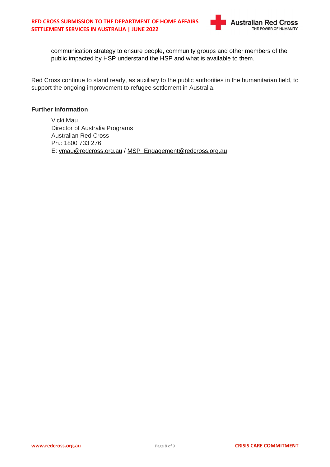

communication strategy to ensure people, community groups and other members of the public impacted by HSP understand the HSP and what is available to them.

Red Cross continue to stand ready, as auxiliary to the public authorities in the humanitarian field, to support the ongoing improvement to refugee settlement in Australia.

#### **Further information**

Vicki Mau Director of Australia Programs Australian Red Cross Ph.: 1800 733 276 E: [vmau@redcross.org.au](mailto:vmau@redcross.org.au) / [MSP\\_Engagement@redcross.org.au](mailto:MSP_Engagement@redcross.org.au)